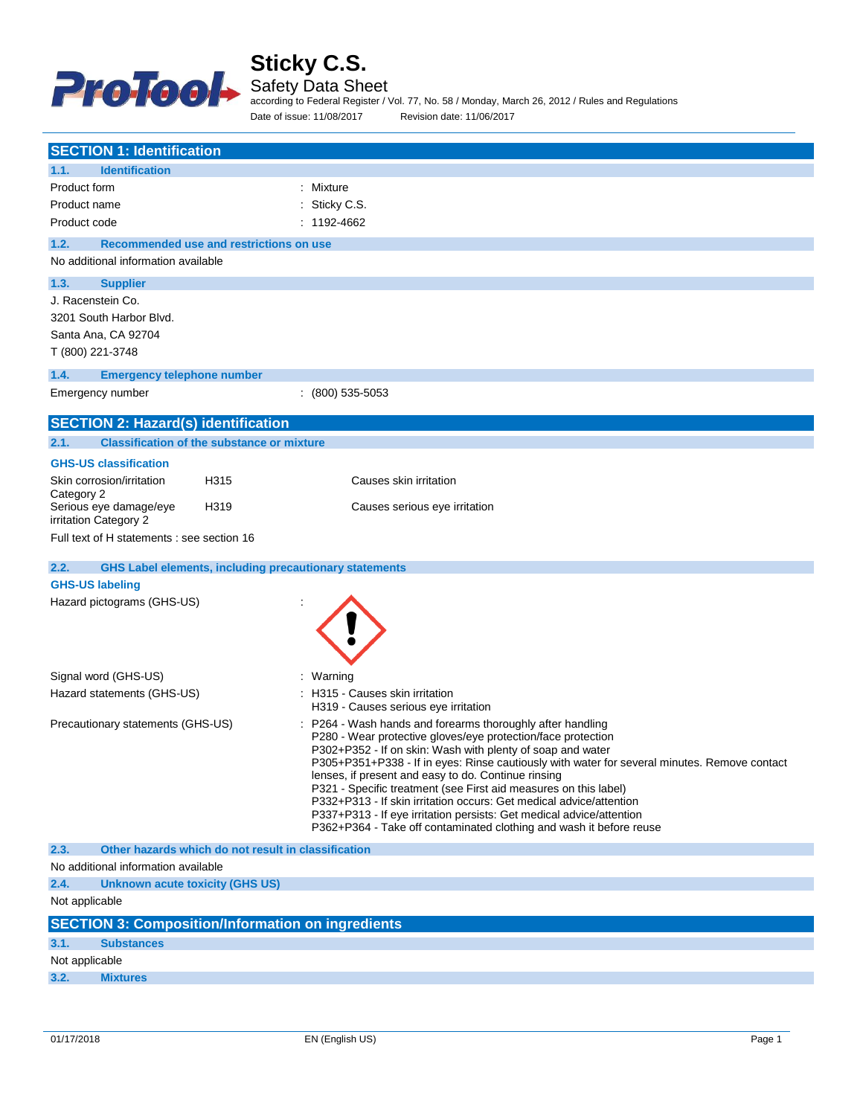

Safety Data Sheet

according to Federal Register / Vol. 77, No. 58 / Monday, March 26, 2012 / Rules and Regulations Date of issue: 11/08/2017 Revision date: 11/06/2017

| <b>SECTION 1: Identification</b>                                      |                                                                                                                                             |
|-----------------------------------------------------------------------|---------------------------------------------------------------------------------------------------------------------------------------------|
| <b>Identification</b><br>1.1.                                         |                                                                                                                                             |
| Product form                                                          | : Mixture                                                                                                                                   |
| Product name                                                          | Sticky C.S.                                                                                                                                 |
| Product code                                                          | : 1192-4662                                                                                                                                 |
| 1.2.<br>Recommended use and restrictions on use                       |                                                                                                                                             |
| No additional information available                                   |                                                                                                                                             |
|                                                                       |                                                                                                                                             |
| 1.3.<br><b>Supplier</b>                                               |                                                                                                                                             |
| J. Racenstein Co.                                                     |                                                                                                                                             |
| 3201 South Harbor Blvd.                                               |                                                                                                                                             |
| Santa Ana, CA 92704                                                   |                                                                                                                                             |
| T (800) 221-3748                                                      |                                                                                                                                             |
| 1.4.<br><b>Emergency telephone number</b>                             |                                                                                                                                             |
| Emergency number                                                      | $(800)$ 535-5053                                                                                                                            |
| <b>SECTION 2: Hazard(s) identification</b>                            |                                                                                                                                             |
|                                                                       |                                                                                                                                             |
| 2.1.<br><b>Classification of the substance or mixture</b>             |                                                                                                                                             |
| <b>GHS-US classification</b>                                          |                                                                                                                                             |
| H315<br>Skin corrosion/irritation                                     | Causes skin irritation                                                                                                                      |
| Category 2<br>Serious eye damage/eye<br>H319                          | Causes serious eye irritation                                                                                                               |
| irritation Category 2                                                 |                                                                                                                                             |
| Full text of H statements : see section 16                            |                                                                                                                                             |
|                                                                       |                                                                                                                                             |
| 2.2.<br><b>GHS Label elements, including precautionary statements</b> |                                                                                                                                             |
| <b>GHS-US labeling</b>                                                |                                                                                                                                             |
| Hazard pictograms (GHS-US)                                            |                                                                                                                                             |
|                                                                       |                                                                                                                                             |
|                                                                       |                                                                                                                                             |
|                                                                       |                                                                                                                                             |
| Signal word (GHS-US)                                                  | : Warning                                                                                                                                   |
| Hazard statements (GHS-US)                                            | : H315 - Causes skin irritation                                                                                                             |
|                                                                       | H319 - Causes serious eye irritation<br>P264 - Wash hands and forearms thoroughly after handling                                            |
| Precautionary statements (GHS-US)                                     | P280 - Wear protective gloves/eye protection/face protection                                                                                |
|                                                                       | P302+P352 - If on skin: Wash with plenty of soap and water                                                                                  |
|                                                                       | P305+P351+P338 - If in eyes: Rinse cautiously with water for several minutes. Remove contact                                                |
|                                                                       | lenses, if present and easy to do. Continue rinsing<br>P321 - Specific treatment (see First aid measures on this label)                     |
|                                                                       | P332+P313 - If skin irritation occurs: Get medical advice/attention                                                                         |
|                                                                       | P337+P313 - If eye irritation persists: Get medical advice/attention<br>P362+P364 - Take off contaminated clothing and wash it before reuse |
|                                                                       |                                                                                                                                             |
| 2.3.<br>Other hazards which do not result in classification           |                                                                                                                                             |
| No additional information available                                   |                                                                                                                                             |
| 2.4.<br><b>Unknown acute toxicity (GHS US)</b>                        |                                                                                                                                             |
| Not applicable                                                        |                                                                                                                                             |
| <b>SECTION 3: Composition/Information on ingredients</b>              |                                                                                                                                             |
| 3.1.<br><b>Substances</b>                                             |                                                                                                                                             |
| Not applicable                                                        |                                                                                                                                             |
| 3.2.<br><b>Mixtures</b>                                               |                                                                                                                                             |
|                                                                       |                                                                                                                                             |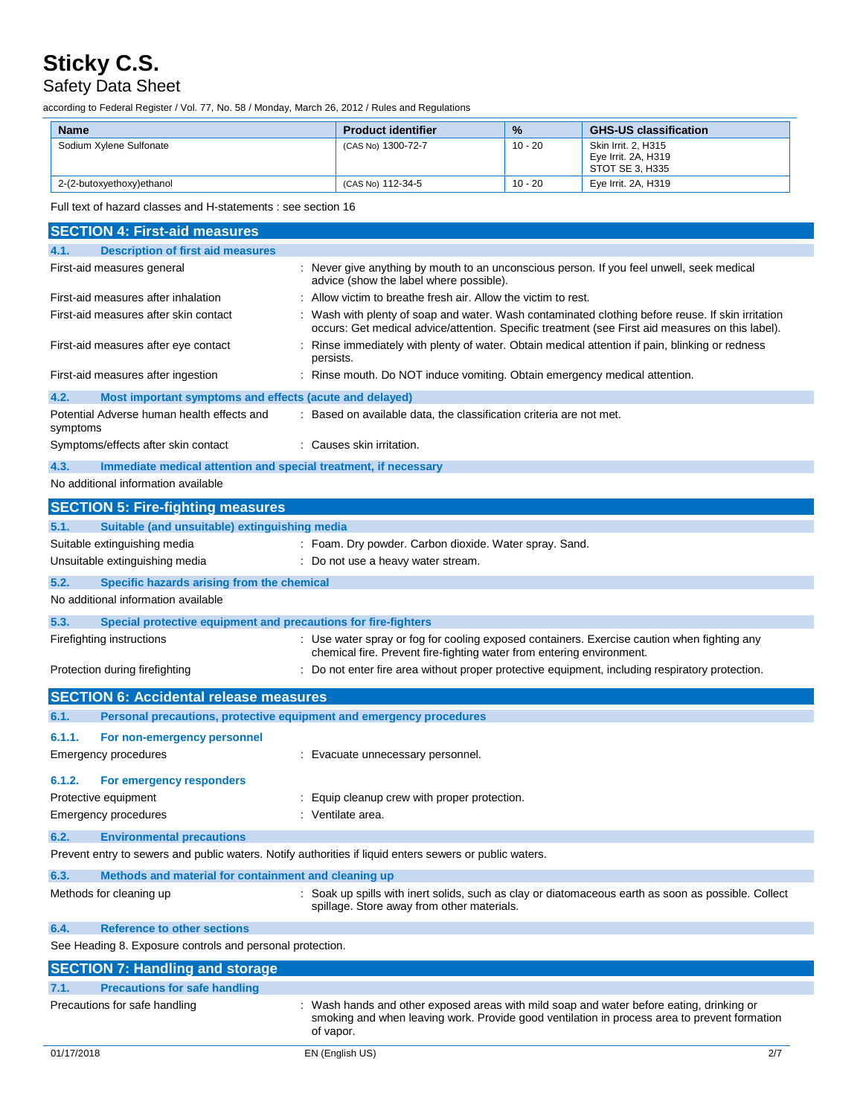## Safety Data Sheet

according to Federal Register / Vol. 77, No. 58 / Monday, March 26, 2012 / Rules and Regulations

| <b>Name</b>               | <b>Product identifier</b> | $\frac{9}{6}$ | <b>GHS-US classification</b>                                  |
|---------------------------|---------------------------|---------------|---------------------------------------------------------------|
| Sodium Xylene Sulfonate   | (CAS No) 1300-72-7        | $10 - 20$     | Skin Irrit, 2, H315<br>Eye Irrit. 2A, H319<br>STOT SE 3. H335 |
| 2-(2-butoxyethoxy)ethanol | (CAS No) 112-34-5         | $10 - 20$     | Eye Irrit. 2A, H319                                           |

Full text of hazard classes and H-statements : see section 16

| <b>SECTION 4: First-aid measures</b>                                                                    |                                                                                                                                                                                                       |  |
|---------------------------------------------------------------------------------------------------------|-------------------------------------------------------------------------------------------------------------------------------------------------------------------------------------------------------|--|
| <b>Description of first aid measures</b><br>4.1.                                                        |                                                                                                                                                                                                       |  |
| First-aid measures general                                                                              | : Never give anything by mouth to an unconscious person. If you feel unwell, seek medical<br>advice (show the label where possible).                                                                  |  |
| First-aid measures after inhalation                                                                     | : Allow victim to breathe fresh air. Allow the victim to rest.                                                                                                                                        |  |
| First-aid measures after skin contact                                                                   | : Wash with plenty of soap and water. Wash contaminated clothing before reuse. If skin irritation<br>occurs: Get medical advice/attention. Specific treatment (see First aid measures on this label). |  |
| First-aid measures after eye contact                                                                    | : Rinse immediately with plenty of water. Obtain medical attention if pain, blinking or redness<br>persists.                                                                                          |  |
| First-aid measures after ingestion                                                                      | : Rinse mouth. Do NOT induce vomiting. Obtain emergency medical attention.                                                                                                                            |  |
| 4.2.<br>Most important symptoms and effects (acute and delayed)                                         |                                                                                                                                                                                                       |  |
| Potential Adverse human health effects and<br>symptoms                                                  | : Based on available data, the classification criteria are not met.                                                                                                                                   |  |
| Symptoms/effects after skin contact                                                                     | : Causes skin irritation.                                                                                                                                                                             |  |
| 4.3.<br>Immediate medical attention and special treatment, if necessary                                 |                                                                                                                                                                                                       |  |
| No additional information available                                                                     |                                                                                                                                                                                                       |  |
| <b>SECTION 5: Fire-fighting measures</b>                                                                |                                                                                                                                                                                                       |  |
| 5.1.<br>Suitable (and unsuitable) extinguishing media                                                   |                                                                                                                                                                                                       |  |
| Suitable extinguishing media                                                                            | : Foam. Dry powder. Carbon dioxide. Water spray. Sand.                                                                                                                                                |  |
| Unsuitable extinguishing media                                                                          | : Do not use a heavy water stream.                                                                                                                                                                    |  |
| 5.2.<br>Specific hazards arising from the chemical                                                      |                                                                                                                                                                                                       |  |
| No additional information available                                                                     |                                                                                                                                                                                                       |  |
| 5.3.<br>Special protective equipment and precautions for fire-fighters                                  |                                                                                                                                                                                                       |  |
| Firefighting instructions                                                                               | : Use water spray or fog for cooling exposed containers. Exercise caution when fighting any<br>chemical fire. Prevent fire-fighting water from entering environment.                                  |  |
| Protection during firefighting                                                                          | : Do not enter fire area without proper protective equipment, including respiratory protection.                                                                                                       |  |
| <b>SECTION 6: Accidental release measures</b>                                                           |                                                                                                                                                                                                       |  |
| 6.1.<br>Personal precautions, protective equipment and emergency procedures                             |                                                                                                                                                                                                       |  |
| 6.1.1.<br>For non-emergency personnel                                                                   |                                                                                                                                                                                                       |  |
| Emergency procedures                                                                                    | : Evacuate unnecessary personnel.                                                                                                                                                                     |  |
|                                                                                                         |                                                                                                                                                                                                       |  |
| 6.1.2.<br>For emergency responders                                                                      |                                                                                                                                                                                                       |  |
| Protective equipment<br><b>Emergency procedures</b>                                                     | : Equip cleanup crew with proper protection.<br>: Ventilate area.                                                                                                                                     |  |
|                                                                                                         |                                                                                                                                                                                                       |  |
| 6.2.<br><b>Environmental precautions</b>                                                                |                                                                                                                                                                                                       |  |
| Prevent entry to sewers and public waters. Notify authorities if liquid enters sewers or public waters. |                                                                                                                                                                                                       |  |
| Methods and material for containment and cleaning up<br>6.3.                                            |                                                                                                                                                                                                       |  |
| Methods for cleaning up                                                                                 | : Soak up spills with inert solids, such as clay or diatomaceous earth as soon as possible. Collect<br>spillage. Store away from other materials.                                                     |  |
| <b>Reference to other sections</b><br>6.4.                                                              |                                                                                                                                                                                                       |  |
| See Heading 8. Exposure controls and personal protection.                                               |                                                                                                                                                                                                       |  |
| <b>SECTION 7: Handling and storage</b>                                                                  |                                                                                                                                                                                                       |  |
| <b>Precautions for safe handling</b><br>7.1.                                                            |                                                                                                                                                                                                       |  |
| Precautions for safe handling                                                                           | : Wash hands and other exposed areas with mild soap and water before eating, drinking or<br>smoking and when leaving work. Provide good ventilation in process area to prevent formation<br>of vapor. |  |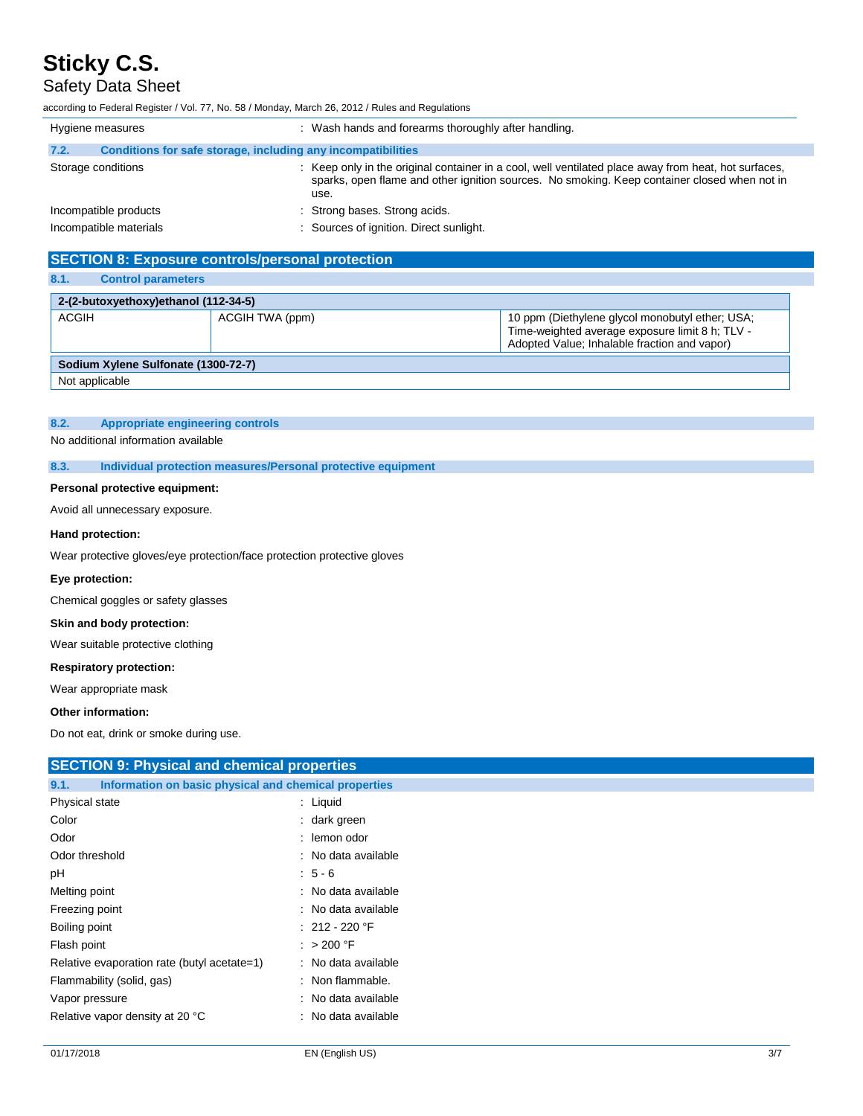### Safety Data Sheet

according to Federal Register / Vol. 77, No. 58 / Monday, March 26, 2012 / Rules and Regulations

| Hygiene measures       |                                                              | : Wash hands and forearms thoroughly after handling.                                                                                                                                                         |
|------------------------|--------------------------------------------------------------|--------------------------------------------------------------------------------------------------------------------------------------------------------------------------------------------------------------|
| 7.2.                   | Conditions for safe storage, including any incompatibilities |                                                                                                                                                                                                              |
| Storage conditions     |                                                              | : Keep only in the original container in a cool, well ventilated place away from heat, hot surfaces,<br>sparks, open flame and other ignition sources. No smoking. Keep container closed when not in<br>use. |
| Incompatible products  |                                                              | : Strong bases. Strong acids.                                                                                                                                                                                |
| Incompatible materials |                                                              | : Sources of ignition. Direct sunlight.                                                                                                                                                                      |

## **SECTION 8: Exposure controls/personal protection**

| 8.1.<br><b>Control parameters</b>    |                 |                                                                                                                                                    |
|--------------------------------------|-----------------|----------------------------------------------------------------------------------------------------------------------------------------------------|
| 2-(2-butoxyethoxy)ethanol (112-34-5) |                 |                                                                                                                                                    |
| <b>ACGIH</b>                         | ACGIH TWA (ppm) | 10 ppm (Diethylene glycol monobutyl ether; USA;<br>Time-weighted average exposure limit 8 h; TLV -<br>Adopted Value; Inhalable fraction and vapor) |
| Sodium Xylene Sulfonate (1300-72-7)  |                 |                                                                                                                                                    |
| Not applicable                       |                 |                                                                                                                                                    |

### **8.2. Appropriate engineering controls**

No additional information available

**8.3. Individual protection measures/Personal protective equipment**

### **Personal protective equipment:**

Avoid all unnecessary exposure.

### **Hand protection:**

Wear protective gloves/eye protection/face protection protective gloves

### **Eye protection:**

Chemical goggles or safety glasses

### **Skin and body protection:**

Wear suitable protective clothing

### **Respiratory protection:**

Wear appropriate mask

### **Other information:**

**SECTION 0: Physical property** 

Do not eat, drink or smoke during use.

| SECTION 9: Physical and chemical properties                   |                     |
|---------------------------------------------------------------|---------------------|
| Information on basic physical and chemical properties<br>9.1. |                     |
| Physical state                                                | $:$ Liquid          |
| Color                                                         | : dark green        |
| Odor                                                          | : lemon odor        |
| Odor threshold                                                | : No data available |
| pH                                                            | $: 5 - 6$           |
| Melting point                                                 | : No data available |
| Freezing point                                                | : No data available |
| Boiling point                                                 | $: 212 - 220$ °F    |
| Flash point                                                   | : $>200$ °F         |
| Relative evaporation rate (butyl acetate=1)                   | : No data available |
| Flammability (solid, gas)                                     | : Non flammable.    |
| Vapor pressure                                                | : No data available |
| Relative vapor density at 20 °C                               | : No data available |
|                                                               |                     |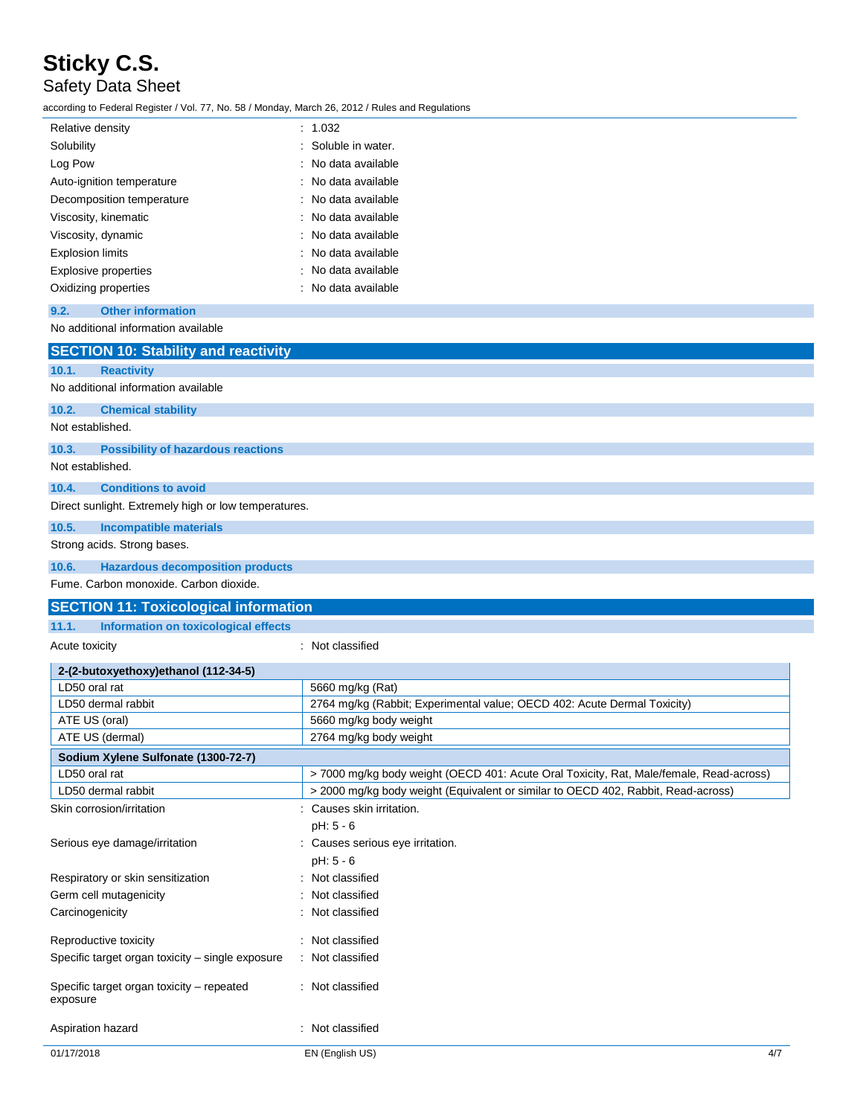## Safety Data Sheet

according to Federal Register / Vol. 77, No. 58 / Monday, March 26, 2012 / Rules and Regulations

| Relative density            | : 1.032             |
|-----------------------------|---------------------|
| Solubility                  | : Soluble in water. |
| Log Pow                     | : No data available |
| Auto-ignition temperature   | : No data available |
| Decomposition temperature   | : No data available |
| Viscosity, kinematic        | : No data available |
| Viscosity, dynamic          | : No data available |
| <b>Explosion limits</b>     | : No data available |
| <b>Explosive properties</b> | : No data available |
| Oxidizing properties        | : No data available |

### **9.2. Other information**

| No additional information available                   |                                                                                        |
|-------------------------------------------------------|----------------------------------------------------------------------------------------|
| <b>SECTION 10: Stability and reactivity</b>           |                                                                                        |
| 10.1.<br><b>Reactivity</b>                            |                                                                                        |
| No additional information available                   |                                                                                        |
| <b>Chemical stability</b><br>10.2.                    |                                                                                        |
| Not established.                                      |                                                                                        |
| 10.3.<br><b>Possibility of hazardous reactions</b>    |                                                                                        |
| Not established.                                      |                                                                                        |
| 10.4.<br><b>Conditions to avoid</b>                   |                                                                                        |
| Direct sunlight. Extremely high or low temperatures.  |                                                                                        |
| 10.5.<br><b>Incompatible materials</b>                |                                                                                        |
| Strong acids. Strong bases.                           |                                                                                        |
| 10.6.<br><b>Hazardous decomposition products</b>      |                                                                                        |
| Fume. Carbon monoxide. Carbon dioxide.                |                                                                                        |
| <b>SECTION 11: Toxicological information</b>          |                                                                                        |
| 11.1.<br>Information on toxicological effects         |                                                                                        |
| Acute toxicity                                        | : Not classified                                                                       |
| 2-(2-butoxyethoxy)ethanol (112-34-5)                  |                                                                                        |
| LD50 oral rat                                         | 5660 mg/kg (Rat)                                                                       |
| LD50 dermal rabbit                                    | 2764 mg/kg (Rabbit; Experimental value; OECD 402: Acute Dermal Toxicity)               |
| ATE US (oral)                                         | 5660 mg/kg body weight                                                                 |
| ATE US (dermal)                                       | 2764 mg/kg body weight                                                                 |
| Sodium Xylene Sulfonate (1300-72-7)                   |                                                                                        |
| LD50 oral rat                                         | >7000 mg/kg body weight (OECD 401: Acute Oral Toxicity, Rat, Male/female, Read-across) |
| LD50 dermal rabbit                                    | > 2000 mg/kg body weight (Equivalent or similar to OECD 402, Rabbit, Read-across)      |
| Skin corrosion/irritation                             | : Causes skin irritation.                                                              |
|                                                       | pH: 5 - 6                                                                              |
| Serious eye damage/irritation                         | Causes serious eye irritation.                                                         |
|                                                       | pH: 5 - 6                                                                              |
| Respiratory or skin sensitization                     | Not classified                                                                         |
| Germ cell mutagenicity                                | Not classified                                                                         |
| Carcinogenicity                                       | : Not classified                                                                       |
| Reproductive toxicity                                 | : Not classified                                                                       |
| Specific target organ toxicity - single exposure      | : Not classified                                                                       |
| Specific target organ toxicity - repeated<br>exposure | : Not classified                                                                       |

Aspiration hazard **in the set of the set of the set of the set of the set of the set of the set of the set of the set of the set of the set of the set of the set of the set of the set of the set of the set of the set of th**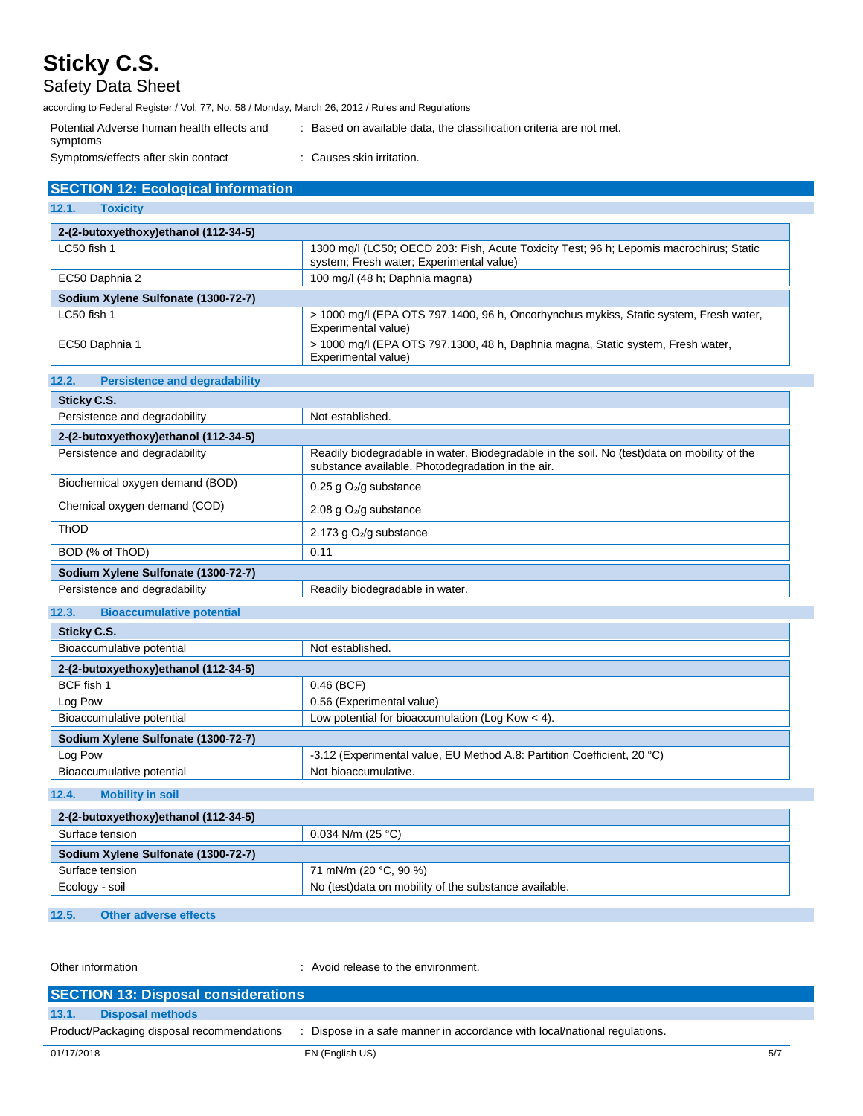Safety Data Sheet

according to Federal Register / Vol. 77, No. 58 / Monday, March 26, 2012 / Rules and Regulations Potential Adverse human health effects and symptoms : Based on available data, the classification criteria are not met. Symptoms/effects after skin contact : Causes skin irritation.

| <b>SECTION 12: Ecological information</b> |
|-------------------------------------------|

**12.2. Persistence and degradability**

**12.1. Toxicity**

| 2-(2-butoxyethoxy)ethanol (112-34-5) |                                                                                                                                     |
|--------------------------------------|-------------------------------------------------------------------------------------------------------------------------------------|
| LC50 fish 1                          | 1300 mg/l (LC50; OECD 203: Fish, Acute Toxicity Test; 96 h; Lepomis macrochirus; Static<br>system; Fresh water; Experimental value) |
| EC50 Daphnia 2                       | 100 mg/l (48 h; Daphnia magna)                                                                                                      |
| Sodium Xylene Sulfonate (1300-72-7)  |                                                                                                                                     |
| LC50 fish 1                          | > 1000 mg/l (EPA OTS 797.1400, 96 h, Oncorhynchus mykiss, Static system, Fresh water,<br>Experimental value)                        |
| EC50 Daphnia 1                       | > 1000 mg/l (EPA OTS 797.1300, 48 h, Daphnia magna, Static system, Fresh water,<br>Experimental value)                              |

| Sticky C.S.                               |                                                                                                                                                  |
|-------------------------------------------|--------------------------------------------------------------------------------------------------------------------------------------------------|
| Persistence and degradability             | Not established.                                                                                                                                 |
| 2-(2-butoxyethoxy)ethanol (112-34-5)      |                                                                                                                                                  |
| Persistence and degradability             | Readily biodegradable in water. Biodegradable in the soil. No (test)data on mobility of the<br>substance available. Photodegradation in the air. |
| Biochemical oxygen demand (BOD)           | 0.25 g $O_2$ /g substance                                                                                                                        |
| Chemical oxygen demand (COD)              | 2.08 g O <sub>2</sub> /g substance                                                                                                               |
| <b>ThOD</b>                               | 2.173 g $O2/g$ substance                                                                                                                         |
| BOD (% of ThOD)                           | 0.11                                                                                                                                             |
| Sodium Xylene Sulfonate (1300-72-7)       |                                                                                                                                                  |
| Persistence and degradability             | Readily biodegradable in water.                                                                                                                  |
|                                           |                                                                                                                                                  |
| 12.3.<br><b>Bioaccumulative potential</b> |                                                                                                                                                  |

| Sticky C.S.                          |                                                                         |  |
|--------------------------------------|-------------------------------------------------------------------------|--|
| Bioaccumulative potential            | Not established.                                                        |  |
| 2-(2-butoxyethoxy)ethanol (112-34-5) |                                                                         |  |
| BCF fish 1                           | $0.46$ (BCF)                                                            |  |
| Log Pow                              | 0.56 (Experimental value)                                               |  |
| Bioaccumulative potential            | Low potential for bioaccumulation (Log Kow $<$ 4).                      |  |
| Sodium Xylene Sulfonate (1300-72-7)  |                                                                         |  |
| Log Pow                              | -3.12 (Experimental value, EU Method A.8: Partition Coefficient, 20 °C) |  |
| Bioaccumulative potential            | Not bioaccumulative.                                                    |  |

**12.4. Mobility in soil**

| 2-(2-butoxyethoxy)ethanol (112-34-5) |                                                        |  |
|--------------------------------------|--------------------------------------------------------|--|
| Surface tension                      | $0.034$ N/m (25 °C)                                    |  |
| Sodium Xylene Sulfonate (1300-72-7)  |                                                        |  |
| Surface tension                      | 71 mN/m (20 °C, 90 %)                                  |  |
| Ecology - soil                       | No (test) data on mobility of the substance available. |  |

**12.5. Other adverse effects**

Other information **COLOREG 2018** 2019 : Avoid release to the environment.

| <b>SECTION 13: Disposal considerations</b> |                                                                           |     |
|--------------------------------------------|---------------------------------------------------------------------------|-----|
| <b>Disposal methods</b><br>13.1.           |                                                                           |     |
| Product/Packaging disposal recommendations | : Dispose in a safe manner in accordance with local/national regulations. |     |
| 01/17/2018                                 | EN (English US)                                                           | 5/7 |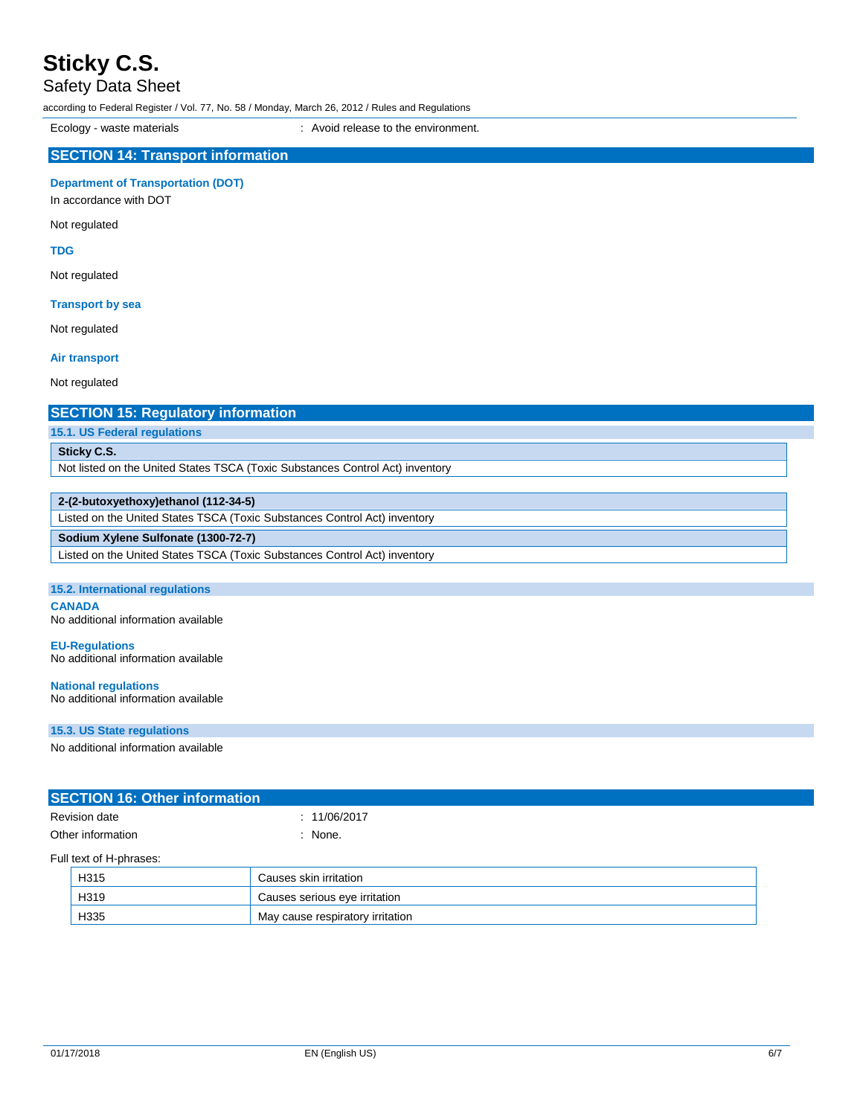Safety Data Sheet

according to Federal Register / Vol. 77, No. 58 / Monday, March 26, 2012 / Rules and Regulations

Ecology - waste materials **Ecology** - waste materials **interval** : Avoid release to the environment.

### **SECTION 14: Transport information**

**Department of Transportation (DOT)**

In accordance with DOT

Not regulated

**TDG**

Not regulated

### **Transport by sea**

Not regulated

### **Air transport**

Not regulated

### **SECTION 15: Regulatory information**

**15.1. US Federal regulations**

### **Sticky C.S.**

Not listed on the United States TSCA (Toxic Substances Control Act) inventory

### **2-(2-butoxyethoxy)ethanol (112-34-5)**

Listed on the United States TSCA (Toxic Substances Control Act) inventory

### **Sodium Xylene Sulfonate (1300-72-7)**

Listed on the United States TSCA (Toxic Substances Control Act) inventory

### **15.2. International regulations**

**CANADA** No additional information available

**EU-Regulations** No additional information available

### **National regulations** No additional information available

**15.3. US State regulations**

No additional information available

| <b>SECTION 16: Other information</b> |              |  |
|--------------------------------------|--------------|--|
| <b>Revision date</b>                 | : 11/06/2017 |  |
| Other information                    | : None.      |  |
| Full text of H-phrases:              |              |  |

| H315 | Causes skin irritation           |
|------|----------------------------------|
| H319 | Causes serious eye irritation    |
| H335 | May cause respiratory irritation |